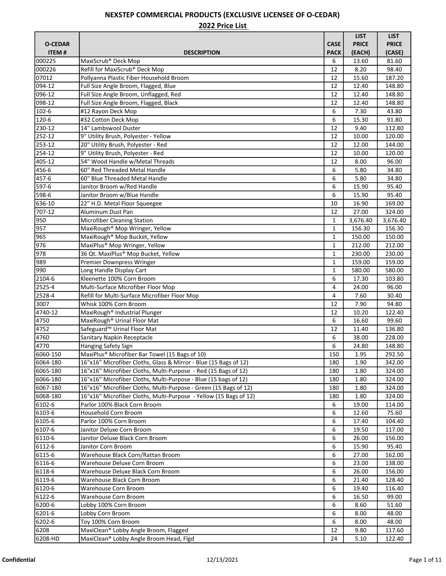|                           |                                                                                                                                     |              | <b>LIST</b>    | <b>LIST</b>      |
|---------------------------|-------------------------------------------------------------------------------------------------------------------------------------|--------------|----------------|------------------|
| <b>O-CEDAR</b>            |                                                                                                                                     | <b>CASE</b>  | <b>PRICE</b>   | <b>PRICE</b>     |
| <b>ITEM#</b>              | <b>DESCRIPTION</b>                                                                                                                  | <b>PACK</b>  | (EACH)         | (CASE)           |
| 000225                    | MaxiScrub <sup>®</sup> Deck Mop                                                                                                     | 6            | 13.60          | 81.60            |
| 000226                    | Refill for MaxiScrub® Deck Mop                                                                                                      | 12           | 8.20           | 98.40            |
| 07012                     | Pollyanna Plastic Fiber Household Broom                                                                                             | 12           | 15.60          | 187.20           |
| 094-12                    | Full Size Angle Broom, Flagged, Blue                                                                                                | 12           | 12.40          | 148.80           |
| 096-12                    | Full Size Angle Broom, Unflagged, Red                                                                                               | 12           | 12.40          | 148.80           |
| 098-12                    | Full Size Angle Broom, Flagged, Black                                                                                               | 12           | 12.40          | 148.80           |
| 102-6                     | #12 Rayon Deck Mop                                                                                                                  | 6            | 7.30           | 43.80            |
| 120-6                     | #32 Cotton Deck Mop                                                                                                                 | 6            | 15.30          | 91.80            |
| 230-12                    | 14" Lambswool Duster                                                                                                                | 12           | 9.40           | 112.80           |
| 252-12                    | 9" Utility Brush, Polyester - Yellow                                                                                                | 12           | 10.00          | 120.00           |
| 253-12                    | 20" Utility Brush, Polyester - Red                                                                                                  | 12           | 12.00          | 144.00           |
| 254-12                    | 9" Utility Brush, Polyester - Red                                                                                                   | 12           | 10.00          | 120.00           |
| 405-12                    | 54" Wood Handle w/Metal Threads                                                                                                     | 12           | 8.00           | 96.00            |
| 456-6                     | 60" Red Threaded Metal Handle                                                                                                       | 6            | 5.80           | 34.80            |
| 457-6                     | 60" Blue Threaded Metal Handle                                                                                                      | 6            | 5.80           | 34.80            |
| 597-6                     | Janitor Broom w/Red Handle                                                                                                          | 6            | 15.90          | 95.40            |
| 598-6                     | Janitor Broom w/Blue Handle                                                                                                         | 6            | 15.90          | 95.40            |
| 636-10                    | 22" H.D. Metal Floor Squeegee                                                                                                       | 10           | 16.90          | 169.00           |
| 707-12                    | Aluminum Dust Pan                                                                                                                   | 12           | 27.00          | 324.00           |
| 950                       | <b>Microfiber Cleaning Station</b>                                                                                                  | $\mathbf{1}$ | 3,676.40       | 3,676.40         |
| 957                       | MaxiRough <sup>®</sup> Mop Wringer, Yellow                                                                                          | $\mathbf{1}$ | 156.30         | 156.30           |
| 965                       | MaxiRough <sup>®</sup> Mop Bucket, Yellow                                                                                           | $\mathbf 1$  | 150.00         | 150.00           |
| 976                       | MaxiPlus® Mop Wringer, Yellow                                                                                                       | $\mathbf{1}$ | 212.00         | 212.00           |
| 978                       | 36 Qt. MaxiPlus® Mop Bucket, Yellow                                                                                                 | $\mathbf{1}$ | 230.00         | 230.00           |
| 989                       | <b>Premier Downpress Wringer</b>                                                                                                    | $\mathbf{1}$ | 159.00         | 159.00           |
| 990                       | Long Handle Display Cart                                                                                                            | $\mathbf{1}$ | 580.00         | 580.00           |
| 2104-6                    | Kleenette 100% Corn Broom                                                                                                           | 6            | 17.30          | 103.80           |
| 2525-4                    | Multi-Surface Microfiber Floor Mop                                                                                                  | 4            | 24.00          | 96.00            |
| 2528-4                    | Refill for Multi-Surface Microfiber Floor Mop                                                                                       | 4            | 7.60           | 30.40            |
|                           | Whisk 100% Corn Broom                                                                                                               |              |                |                  |
| 3007<br>4740-12           |                                                                                                                                     | 12<br>12     | 7.90           | 94.80<br>122.40  |
|                           | MaxiRough <sup>®</sup> Industrial Plunger                                                                                           | 6            | 10.20          |                  |
| 4750                      | MaxiRough <sup>®</sup> Urinal Floor Mat<br>Safeguard <sup>™</sup> Urinal Floor Mat                                                  | 12           | 16.60          | 99.60            |
| 4752<br>$\overline{47}60$ | Sanitary Napkin Receptacle                                                                                                          | 6            | 11.40<br>38.00 | 136.80<br>228.00 |
| 4770                      | Hanging Safety Sign                                                                                                                 | 6            | 24.80          | 148.80           |
| 6060-150                  | MaxiPlus <sup>®</sup> Microfiber Bar Towel (15 Bags of 10)                                                                          | 150          |                |                  |
|                           |                                                                                                                                     |              | 1.95           | 292.50           |
| 6064-180<br>6065-180      | 16"x16" Microfiber Cloths, Glass & Mirror - Blue (15 Bags of 12)<br>16"x16" Microfiber Cloths, Multi-Purpose - Red (15 Bags of 12)  | 180<br>180   | 1.90<br>1.80   | 342.00<br>324.00 |
| 6066-180                  |                                                                                                                                     |              |                |                  |
| 6067-180                  | 16"x16" Microfiber Cloths, Multi-Purpose - Blue (15 bags of 12)<br>16"x16" Microfiber Cloths, Multi-Purpose - Green (15 Bags of 12) | 180          | 1.80           | 324.00           |
| 6068-180                  | 16"x16" Microfiber Cloths, Multi-Purpose - Yellow (15 Bags of 12)                                                                   | 180<br>180   | 1.80<br>1.80   | 324.00<br>324.00 |
|                           |                                                                                                                                     |              |                |                  |
| 6102-6                    | Parlor 100% Black Corn Broom                                                                                                        | 6            | 19.00          | 114.00           |
| 6103-6                    | Household Corn Broom                                                                                                                | 6            | 12.60          | 75.60            |
| 6105-6                    | Parlor 100% Corn Broom                                                                                                              | 6<br>6       | 17.40<br>19.50 | 104.40           |
| 6107-6                    | Janitor Deluxe Corn Broom                                                                                                           |              |                | 117.00           |
| 6110-6                    | Janitor Deluxe Black Corn Broom                                                                                                     | 6            | 26.00          | 156.00           |
| 6112-6                    | Janitor Corn Broom                                                                                                                  | 6            | 15.90          | 95.40            |
| 6115-6                    | Warehouse Black Corn/Rattan Broom                                                                                                   | 6            | 27.00          | 162.00           |
| 6116-6                    | Warehouse Deluxe Corn Broom                                                                                                         | 6            | 23.00          | 138.00           |
| 6118-6                    | Warehouse Deluxe Black Corn Broom                                                                                                   | 6            | 26.00          | 156.00           |
| 6119-6                    | Warehouse Black Corn Broom                                                                                                          | 6            | 21.40          | 128.40           |
| 6120-6                    | Warehouse Corn Broom                                                                                                                | 6            | 19.40          | 116.40           |
| 6122-6                    | Warehouse Corn Broom                                                                                                                | 6            | 16.50          | 99.00            |
| 6200-6                    | Lobby 100% Corn Broom                                                                                                               | 6            | 8.60           | 51.60            |
| 6201-6                    | Lobby Corn Broom                                                                                                                    | 6            | 8.00           | 48.00            |
| 6202-6                    | Toy 100% Corn Broom                                                                                                                 | 6            | 8.00           | 48.00            |
| 6208                      | MaxiClean® Lobby Angle Broom, Flagged                                                                                               | 12           | 9.80           | 117.60           |
| 6208-HD                   | MaxiClean® Lobby Angle Broom Head, Flgd                                                                                             | 24           | 5.10           | 122.40           |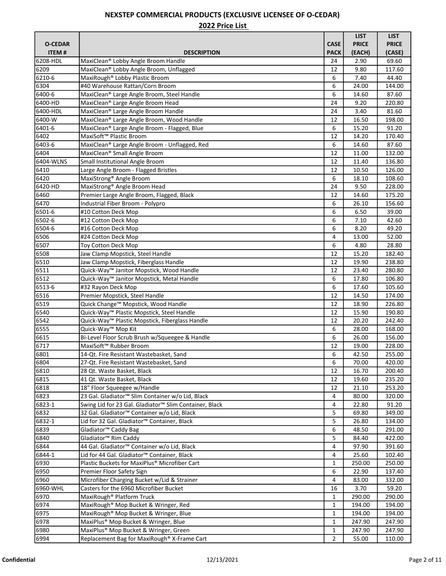|                |                                                              |              | <b>LIST</b>  | <b>LIST</b>      |
|----------------|--------------------------------------------------------------|--------------|--------------|------------------|
| <b>O-CEDAR</b> |                                                              | <b>CASE</b>  | <b>PRICE</b> | <b>PRICE</b>     |
| <b>ITEM#</b>   | <b>DESCRIPTION</b>                                           | <b>PACK</b>  | (EACH)       | (CASE)           |
| 6208-HDL       | MaxiClean® Lobby Angle Broom Handle                          | 24           | 2.90         | 69.60            |
| 6209           | MaxiClean® Lobby Angle Broom, Unflagged                      | 12           | 9.80         | 117.60           |
| 6210-6         | MaxiRough® Lobby Plastic Broom                               | 6            | 7.40         | 44.40            |
| 6304           | #40 Warehouse Rattan/Corn Broom                              | 6            | 24.00        | 144.00           |
| 6400-6         | MaxiClean® Large Angle Broom, Steel Handle                   | 6            | 14.60        | 87.60            |
| 6400-HD        | MaxiClean® Large Angle Broom Head                            | 24           | 9.20         | 220.80           |
| 6400-HDL       | MaxiClean® Large Angle Broom Handle                          | 24           | 3.40         | 81.60            |
| 6400-W         | MaxiClean® Large Angle Broom, Wood Handle                    | 12           | 16.50        | 198.00           |
| 6401-6         | MaxiClean® Large Angle Broom - Flagged, Blue                 | 6            | 15.20        | 91.20            |
| 6402           | MaxiSoft <sup>™</sup> Plastic Broom                          | 12           | 14.20        | 170.40           |
| 6403-6         | MaxiClean® Large Angle Broom - Unflagged, Red                | 6            | 14.60        | 87.60            |
| 6404           | MaxiClean <sup>®</sup> Small Angle Broom                     | 12           | 11.00        | 132.00           |
| 6404-WLNS      | Small Institutional Angle Broom                              | 12           | 11.40        | 136.80           |
| 6410           | Large Angle Broom - Flagged Bristles                         | 12           | 10.50        | 126.00           |
| 6420           | MaxiStrong <sup>®</sup> Angle Broom                          | 6            | 18.10        | 108.60           |
| 6420-HD        | MaxiStrong <sup>®</sup> Angle Broom Head                     | 24           | 9.50         | 228.00           |
| 6460           | Premier Large Angle Broom, Flagged, Black                    | 12           | 14.60        | 175.20           |
| 6470           | Industrial Fiber Broom - Polypro                             | 6            | 26.10        | 156.60           |
| 6501-6         | #10 Cotton Deck Mop                                          | 6            | 6.50         | 39.00            |
| 6502-6         | #12 Cotton Deck Mop                                          | 6            | 7.10         | 42.60            |
| 6504-6         | #16 Cotton Deck Mop                                          | 6            | 8.20         | 49.20            |
| 6506           | #24 Cotton Deck Mop                                          | 4            | 13.00        | 52.00            |
|                |                                                              | 6            | 4.80         | 28.80            |
| 6507           | Toy Cotton Deck Mop                                          | 12           | 15.20        |                  |
| 6508<br>6510   | Jaw Clamp Mopstick, Steel Handle                             | 12           | 19.90        | 182.40<br>238.80 |
|                | Jaw Clamp Mopstick, Fiberglass Handle                        |              |              |                  |
| 6511           | Quick-Way™ Janitor Mopstick, Wood Handle                     | 12           | 23.40        | 280.80           |
| 6512           | Quick-Way™ Janitor Mopstick, Metal Handle                    | 6            | 17.80        | 106.80           |
| 6513-6         | #32 Rayon Deck Mop                                           | 6            | 17.60        | 105.60           |
| 6516           | Premier Mopstick, Steel Handle                               | 12           | 14.50        | 174.00           |
| 6519           | Quick Change™ Mopstick, Wood Handle                          | 12           | 18.90        | 226.80           |
| 6540           | Quick-Way™ Plastic Mopstick, Steel Handle                    | 12           | 15.90        | 190.80           |
| 6542           | Quick-Way™ Plastic Mopstick, Fiberglass Handle               | 12           | 20.20        | 242.40           |
| 6555           | Quick-Way™ Mop Kit                                           | 6            | 28.00        | 168.00           |
| 6615           | Bi-Level Floor Scrub Brush w/Squeegee & Handle               | 6            | 26.00        | 156.00           |
| 6717           | MaxiSoft™ Rubber Broom                                       | 12           | 19.00        | 228.00           |
| 6801           | 14-Qt. Fire Resistant Wastebasket, Sand                      | 6            | 42.50        | 255.00           |
| 6804           | 27-Qt. Fire Resistant Wastebasket, Sand                      | 6            | 70.00        | 420.00           |
| 6810           | 28 Qt. Waste Basket, Black                                   | 12           | 16.70        | 200.40           |
| 6815           | 41 Qt. Waste Basket, Black                                   | 12           | 19.60        | 235.20           |
| 6818           | 18" Floor Squeegee w/Handle                                  | 12           | 21.10        | 253.20           |
| 6823           | 23 Gal. Gladiator <sup>™</sup> Slim Container w/o Lid, Black | 4            | 80.00        | 320.00           |
| 6823-1         | Swing Lid for 23 Gal. Gladiator™ Slim Container, Black       | 4            | 22.80        | 91.20            |
| 6832           | 32 Gal. Gladiator™ Container w/o Lid, Black                  | 5            | 69.80        | 349.00           |
| 6832-1         | Lid for 32 Gal. Gladiator <sup>™</sup> Container, Black      | 5            | 26.80        | 134.00           |
| 6839           | Gladiator <sup>™</sup> Caddy Bag                             | 6            | 48.50        | 291.00           |
| 6840           | Gladiator <sup>™</sup> Rim Caddy                             | 5            | 84.40        | 422.00           |
| 6844           | 44 Gal. Gladiator <sup>™</sup> Container w/o Lid, Black      | 4            | 97.90        | 391.60           |
| 6844-1         | Lid for 44 Gal. Gladiator <sup>™</sup> Container, Black      | 4            | 25.60        | 102.40           |
| 6930           | Plastic Buckets for MaxiPlus® Microfiber Cart                | 1            | 250.00       | 250.00           |
| 6950           | Premier Floor Safety Sign                                    | 6            | 22.90        | 137.40           |
| 6960           | Microfiber Charging Bucket w/Lid & Strainer                  | 4            | 83.00        | 332.00           |
| 6960-WHL       | Casters for the 6960 Microfiber Bucket                       | 16           | 3.70         | 59.20            |
| 6970           | MaxiRough <sup>®</sup> Platform Truck                        | 1            | 290.00       | 290.00           |
| 6974           | MaxiRough® Mop Bucket & Wringer, Red                         | $\mathbf{1}$ | 194.00       | 194.00           |
| 6975           | MaxiRough® Mop Bucket & Wringer, Blue                        | 1            | 194.00       | 194.00           |
| 6978           | MaxiPlus® Mop Bucket & Wringer, Blue                         | 1            | 247.90       | 247.90           |
| 6980           | MaxiPlus® Mop Bucket & Wringer, Green                        | 1            | 247.90       | 247.90           |
| 6994           | Replacement Bag for MaxiRough® X-Frame Cart                  | 2            | 55.00        | 110.00           |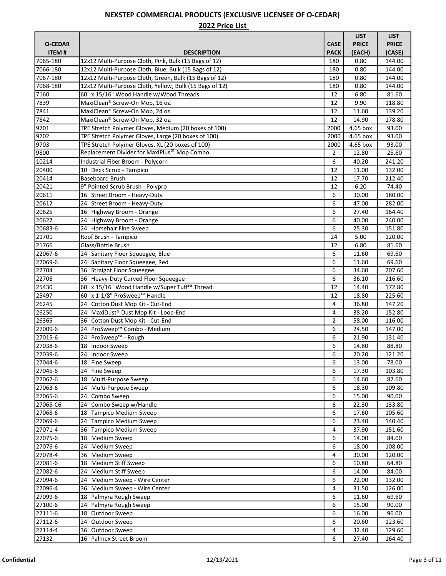|                |                                                         |                | <b>LIST</b>  | <b>LIST</b>  |
|----------------|---------------------------------------------------------|----------------|--------------|--------------|
| <b>O-CEDAR</b> |                                                         | <b>CASE</b>    | <b>PRICE</b> | <b>PRICE</b> |
| <b>ITEM#</b>   | <b>DESCRIPTION</b>                                      | <b>PACK</b>    | (EACH)       | (CASE)       |
| 7065-180       | 12x12 Multi-Purpose Cloth, Pink, Bulk (15 Bags of 12)   | 180            | 0.80         | 144.00       |
| 7066-180       | 12x12 Multi-Purpose Cloth, Blue, Bulk (15 Bags of 12)   | 180            | 0.80         | 144.00       |
| 7067-180       | 12x12 Multi-Purpose Cloth, Green, Bulk (15 Bags of 12)  | 180            | 0.80         | 144.00       |
| 7068-180       | 12x12 Multi-Purpose Cloth, Yellow, Bulk (15 Bags of 12) | 180            | 0.80         | 144.00       |
| 7160           | 60" x 15/16" Wood Handle w/Wood Threads                 | 12             | 6.80         | 81.60        |
| 7839           | MaxiClean® Screw-On Mop, 16 oz.                         | 12             | 9.90         | 118.80       |
| 7841           | MaxiClean® Screw-On Mop, 24 oz.                         | 12             | 11.60        | 139.20       |
| 7842           | MaxiClean® Screw-On Mop, 32 oz.                         | 12             | 14.90        | 178.80       |
| 9701           | TPE Stretch Polymer Gloves, Medium (20 boxes of 100)    | 2000           | 4.65 box     | 93.00        |
| 9702           | TPE Stretch Polymer Gloves, Large (20 boxes of 100)     | 2000           | 4.65 box     | 93.00        |
| 9703           | TPE Stretch Polymer Gloves, XL (20 boxes of 100)        | 2000           | 4.65 box     | 93.00        |
| 9800           | Replacement Divider for MaxiPlus <sup>®</sup> Mop Combo | $\overline{2}$ | 12.80        | 25.60        |
| 10214          | Industrial Fiber Broom - Polycorn                       | 6              | 40.20        | 241.20       |
| 20400          | 10" Deck Scrub - Tampico                                | 12             | 11.00        | 132.00       |
| 20414          | <b>Baseboard Brush</b>                                  | 12             | 17.70        | 212.40       |
| 20421          | 9" Pointed Scrub Brush - Polypro                        | 12             | 6.20         | 74.40        |
| 20611          | 16" Street Broom - Heavy-Duty                           | 6              | 30.00        | 180.00       |
| 20612          | 24" Street Broom - Heavy-Duty                           | 6              | 47.00        | 282.00       |
| 20625          | 16" Highway Broom - Orange                              | 6              | 27.40        | 164.40       |
| 20627          | 24" Highway Broom - Orange                              | 6              | 40.00        | 240.00       |
| 20683-6        | 24" Horsehair Fine Sweep                                | 6              | 25.30        | 151.80       |
| 21701          | Roof Brush - Tampico                                    | 24             | 5.00         | 120.00       |
| 21766          | Glass/Bottle Brush                                      | 12             | 6.80         | 81.60        |
| 22067-6        | 24" Sanitary Floor Squeegee, Blue                       | 6              | 11.60        | 69.60        |
| 22069-6        | 24" Sanitary Floor Squeegee, Red                        | 6              | 11.60        | 69.60        |
| 22704          | 36" Straight Floor Squeegee                             | 6              | 34.60        | 207.60       |
| 22708          | 36" Heavy-Duty Curved Floor Squeegee                    | 6              | 36.10        | 216.60       |
| 25430          | 60" x 15/16" Wood Handle w/Super Tuff™ Thread           | 12             | 14.40        | 172.80       |
| 25497          | 60" x 1-1/8" ProSweep™ Handle                           | 12             | 18.80        | 225.60       |
| 26245          | 24" Cotton Dust Mop Kit - Cut-End                       | 4              | 36.80        | 147.20       |
| 26250          | 24" MaxiDust® Dust Mop Kit - Loop-End                   | 4              | 38.20        | 152.80       |
| 26365          | 36" Cotton Dust Mop Kit - Cut-End                       | 2              | 58.00        | 116.00       |
| 27009-6        | 24" ProSweep™ Combo - Medium                            | 6              | 24.50        | 147.00       |
| 27015-6        | 24" ProSweep™ - Rough                                   | 6              | 21.90        | 131.40       |
| 27038-6        | 18" Indoor Sweep                                        | 6              | 14.80        | 88.80        |
| 27039-6        | 24" Indoor Sweep                                        | 6              | 20.20        | 121.20       |
| 27044-6        | 18" Fine Sweep                                          | 6              | 13.00        | 78.00        |
| 27045-6        | 24" Fine Sweep                                          | 6              | 17.30        | 103.80       |
| 27062-6        | 18" Multi-Purpose Sweep                                 | 6              | 14.60        | 87.60        |
| 27063-6        | 24" Multi-Purpose Sweep                                 | 6              | 18.30        | 109.80       |
| 27065-6        | 24" Combo Sweep                                         | 6              | 15.00        | 90.00        |
| 27065-C6       | 24" Combo Sweep w/Handle                                | 6              | 22.30        | 133.80       |
| 27068-6        | 18" Tampico Medium Sweep                                | 6              | 17.60        | 105.60       |
| 27069-6        | 24" Tampico Medium Sweep                                | 6              | 23.40        | 140.40       |
| 27071-4        | 36" Tampico Medium Sweep                                | 4              | 37.90        | 151.60       |
| 27075-6        | 18" Medium Sweep                                        | 6              | 14.00        | 84.00        |
| 27076-6        | 24" Medium Sweep                                        | 6              | 18.00        | 108.00       |
| 27078-4        | 36" Medium Sweep                                        | 4              | 30.00        | 120.00       |
| 27081-6        | 18" Medium Stiff Sweep                                  | 6              | 10.80        | 64.80        |
| 27082-6        | 24" Medium Stiff Sweep                                  | 6              | 14.00        | 84.00        |
| 27094-6        | 24" Medium Sweep - Wire Center                          | 6              | 22.00        | 132.00       |
| 27096-4        | 36" Medium Sweep - Wire Center                          | 4              | 31.50        | 126.00       |
| 27099-6        | 18" Palmyra Rough Sweep                                 | 6              | 11.60        | 69.60        |
| 27100-6        | 24" Palmyra Rough Sweep                                 | 6              | 15.00        | 90.00        |
| 27111-6        | 18" Outdoor Sweep                                       | 6              | 16.00        | 96.00        |
| 27112-6        | 24" Outdoor Sweep                                       | 6              | 20.60        | 123.60       |
| 27114-4        | 36" Outdoor Sweep                                       | 4              | 32.40        | 129.60       |
| 27132          | 16" Palmex Street Broom                                 | 6              | 27.40        | 164.40       |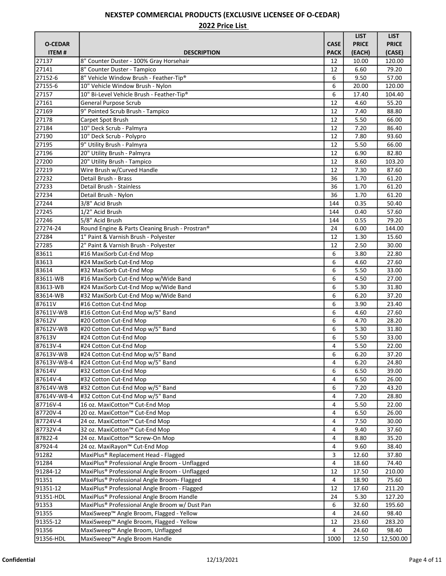|                |                                                            |             | <b>LIST</b>  | <b>LIST</b>  |
|----------------|------------------------------------------------------------|-------------|--------------|--------------|
| <b>O-CEDAR</b> |                                                            | <b>CASE</b> | <b>PRICE</b> | <b>PRICE</b> |
| <b>ITEM#</b>   | <b>DESCRIPTION</b>                                         | <b>PACK</b> | (EACH)       | (CASE)       |
| 27137          | 8" Counter Duster - 100% Gray Horsehair                    | 12          | 10.00        | 120.00       |
| 27141          | 8" Counter Duster - Tampico                                | 12          | 6.60         | 79.20        |
| 27152-6        | 8" Vehicle Window Brush - Feather-Tip®                     | 6           | 9.50         | 57.00        |
| 27155-6        | 10" Vehicle Window Brush - Nylon                           | 6           | 20.00        | 120.00       |
| 27157          | 10" Bi-Level Vehicle Brush - Feather-Tip®                  | 6           | 17.40        | 104.40       |
| 27161          | General Purpose Scrub                                      | 12          | 4.60         | 55.20        |
| 27169          | 9" Pointed Scrub Brush - Tampico                           | 12          | 7.40         | 88.80        |
| 27178          | Carpet Spot Brush                                          | 12          | 5.50         | 66.00        |
| 27184          | 10" Deck Scrub - Palmyra                                   | 12          | 7.20         | 86.40        |
| 27190          | 10" Deck Scrub - Polypro                                   | 12          | 7.80         | 93.60        |
| 27195          | 9" Utility Brush - Palmyra                                 | 12          | 5.50         | 66.00        |
| 27196          | 20" Utility Brush - Palmyra                                | 12          | 6.90         | 82.80        |
| 27200          | 20" Utility Brush - Tampico                                | 12          | 8.60         | 103.20       |
| 27219          | Wire Brush w/Curved Handle                                 | 12          | 7.30         | 87.60        |
| 27232          | Detail Brush - Brass                                       | 36          | 1.70         | 61.20        |
| 27233          | Detail Brush - Stainless                                   | 36          | 1.70         | 61.20        |
| 27234          | Detail Brush - Nylon                                       | 36          | 1.70         | 61.20        |
| 27244          | 3/8" Acid Brush                                            | 144         | 0.35         | 50.40        |
| 27245          | 1/2" Acid Brush                                            | 144         | 0.40         | 57.60        |
| 27246          | 5/8" Acid Brush                                            | 144         | 0.55         | 79.20        |
| 27274-24       | Round Engine & Parts Cleaning Brush - Prostran®            | 24          | 6.00         | 144.00       |
| 27284          | 1" Paint & Varnish Brush - Polyester                       | 12          | 1.30         | 15.60        |
| 27285          | 2" Paint & Varnish Brush - Polyester                       | 12          | 2.50         | 30.00        |
| 83611          | #16 MaxiSorb Cut-End Mop                                   | 6           | 3.80         | 22.80        |
| 83613          | #24 MaxiSorb Cut-End Mop                                   | 6           | 4.60         | 27.60        |
| 83614          | #32 MaxiSorb Cut-End Mop                                   | 6           | 5.50         | 33.00        |
| 83611-WB       | #16 MaxiSorb Cut-End Mop w/Wide Band                       | 6           | 4.50         | 27.00        |
| 83613-WB       | #24 MaxiSorb Cut-End Mop w/Wide Band                       | 6           | 5.30         | 31.80        |
| 83614-WB       | #32 MaxiSorb Cut-End Mop w/Wide Band                       | 6           | 6.20         | 37.20        |
| 87611V         | #16 Cotton Cut-End Mop                                     | 6           | 3.90         | 23.40        |
| 87611V-WB      | #16 Cotton Cut-End Mop w/5" Band                           | 6           | 4.60         | 27.60        |
| 87612V         | #20 Cotton Cut-End Mop                                     | 6           | 4.70         | 28.20        |
| 87612V-WB      | #20 Cotton Cut-End Mop w/5" Band                           | 6           | 5.30         | 31.80        |
| 87613V         | #24 Cotton Cut-End Mop                                     | 6           | 5.50         | 33.00        |
| 87613V-4       | #24 Cotton Cut-End Mop                                     | 4           | 5.50         | 22.00        |
| 87613V-WB      | #24 Cotton Cut-End Mop w/5" Band                           | 6           | 6.20         | 37.20        |
| 87613V-WB-4    | #24 Cotton Cut-End Mop w/5" Band                           | 4           | 6.20         | 24.80        |
| 87614V         | #32 Cotton Cut-End Mop                                     | 6           | 6.50         | 39.00        |
| 87614V-4       | #32 Cotton Cut-End Mop                                     | 4           | 6.50         | 26.00        |
| 87614V-WB      | #32 Cotton Cut-End Mop w/5" Band                           | 6           | 7.20         | 43.20        |
| 87614V-WB-4    | #32 Cotton Cut-End Mop w/5" Band                           | 4           | 7.20         | 28.80        |
| 87716V-4       | 16 oz. MaxiCotton™ Cut-End Mop                             | 4           | 5.50         | 22.00        |
| 87720V-4       | 20 oz. MaxiCotton™ Cut-End Mop                             | 4           | 6.50         | 26.00        |
| 87724V-4       | 24 oz. MaxiCotton™ Cut-End Mop                             | 4           | 7.50         | 30.00        |
| 87732V-4       | 32 oz. MaxiCotton™ Cut-End Mop                             | 4           | 9.40         | 37.60        |
| 87822-4        | 24 oz. MaxiCotton™ Screw-On Mop                            | 4           | 8.80         | 35.20        |
| 87924-4        | 24 oz. MaxiRayon™ Cut-End Mop                              | 4           | 9.60         | 38.40        |
| 91282          | MaxiPlus® Replacement Head - Flagged                       | 3           | 12.60        | 37.80        |
| 91284          | MaxiPlus® Professional Angle Broom - Unflagged             | 4           | 18.60        | 74.40        |
| 91284-12       | MaxiPlus <sup>®</sup> Professional Angle Broom - Unflagged | 12          | 17.50        | 210.00       |
| 91351          | MaxiPlus® Professional Angle Broom- Flagged                | 4           | 18.90        | 75.60        |
| 91351-12       | MaxiPlus® Professional Angle Broom - Flagged               | 12          | 17.60        | 211.20       |
| 91351-HDL      | MaxiPlus® Professional Angle Broom Handle                  | 24          | 5.30         | 127.20       |
| 91353          | MaxiPlus® Professional Angle Broom w/ Dust Pan             | 6           | 32.60        | 195.60       |
| 91355          | MaxiSweep™ Angle Broom, Flagged - Yellow                   | 4           | 24.60        | 98.40        |
| 91355-12       | MaxiSweep™ Angle Broom, Flagged - Yellow                   | 12          | 23.60        | 283.20       |
| 91356          | MaxiSweep™ Angle Broom, Unflagged                          | 4           | 24.60        | 98.40        |
| 91356-HDL      | MaxiSweep™ Angle Broom Handle                              | 1000        | 12.50        | 12,500.00    |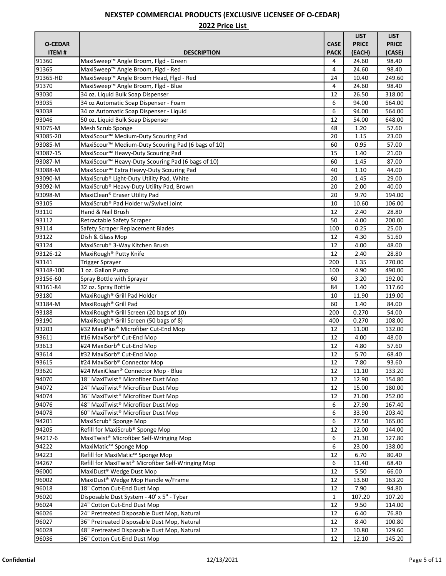|                |                                                                |              | <b>LIST</b>  | <b>LIST</b>      |
|----------------|----------------------------------------------------------------|--------------|--------------|------------------|
| <b>O-CEDAR</b> |                                                                | <b>CASE</b>  | <b>PRICE</b> | <b>PRICE</b>     |
| <b>ITEM#</b>   | <b>DESCRIPTION</b>                                             | <b>PACK</b>  | (EACH)       | (CASE)           |
| 91360          | MaxiSweep™ Angle Broom, Flgd - Green                           | 4            | 24.60        | 98.40            |
| 91365          | MaxiSweep™ Angle Broom, Flgd - Red                             | 4            | 24.60        | 98.40            |
| 91365-HD       | MaxiSweep™ Angle Broom Head, Flgd - Red                        | 24           | 10.40        | 249.60           |
| 91370          | MaxiSweep™ Angle Broom, Flgd - Blue                            | 4            | 24.60        | 98.40            |
| 93030          | 34 oz. Liquid Bulk Soap Dispenser                              | 12           | 26.50        | 318.00           |
| 93035          | 34 oz Automatic Soap Dispenser - Foam                          | 6            | 94.00        | 564.00           |
| 93038          | 34 oz Automatic Soap Dispenser - Liquid                        | 6            | 94.00        | 564.00           |
| 93046          | 50 oz. Liquid Bulk Soap Dispenser                              | 12           | 54.00        | 648.00           |
| 93075-M        | Mesh Scrub Sponge                                              | 48           | 1.20         | 57.60            |
| 93085-20       | MaxiScour <sup>™</sup> Medium-Duty Scouring Pad                | 20           | 1.15         | 23.00            |
| 93085-M        | MaxiScour <sup>™</sup> Medium-Duty Scouring Pad (6 bags of 10) | 60           | 0.95         | 57.00            |
| 93087-15       | MaxiScour <sup>™</sup> Heavy-Duty Scouring Pad                 | 15           | 1.40         | 21.00            |
| 93087-M        | MaxiScour <sup>™</sup> Heavy-Duty Scouring Pad (6 bags of 10)  | 60           | 1.45         | 87.00            |
| 93088-M        | MaxiScour <sup>™</sup> Extra Heavy-Duty Scouring Pad           | 40           | 1.10         | 44.00            |
| 93090-M        | MaxiScrub® Light-Duty Utility Pad, White                       | 20           | 1.45         | 29.00            |
| 93092-M        | MaxiScrub® Heavy-Duty Utility Pad, Brown                       | 20           | 2.00         | 40.00            |
| 93098-M        | MaxiClean® Eraser Utility Pad                                  | 20           | 9.70         | 194.00           |
| 93105          | MaxiScrub® Pad Holder w/Swivel Joint                           | 10           | 10.60        | 106.00           |
| 93110          | Hand & Nail Brush                                              | 12           | 2.40         | 28.80            |
| 93112          | Retractable Safety Scraper                                     | 50           | 4.00         | 200.00           |
| 93114          | Safety Scraper Replacement Blades                              | 100          | 0.25         | 25.00            |
| 93122          | Dish & Glass Mop                                               | 12           | 4.30         | 51.60            |
| 93124          | MaxiScrub® 3-Way Kitchen Brush                                 | 12           | 4.00         | 48.00            |
| 93126-12       | MaxiRough <sup>®</sup> Putty Knife                             | 12           | 2.40         | 28.80            |
| 93141          |                                                                | 200          | 1.35         | 270.00           |
| 93148-100      | <b>Trigger Sprayer</b><br>1 oz. Gallon Pump                    |              |              |                  |
| 93156-60       |                                                                | 100          | 4.90<br>3.20 | 490.00<br>192.00 |
| 93161-84       | Spray Bottle with Sprayer                                      | 60<br>84     | 1.40         | 117.60           |
| 93180          | 32 oz. Spray Bottle<br>MaxiRough <sup>®</sup> Grill Pad Holder | 10           |              | 119.00           |
|                |                                                                |              | 11.90        |                  |
| 93184-M        | MaxiRough <sup>®</sup> Grill Pad                               | 60           | 1.40         | 84.00            |
| 93188          | MaxiRough® Grill Screen (20 bags of 10)                        | 200          | 0.270        | 54.00            |
| 93190          | MaxiRough® Grill Screen (50 bags of 8)                         | 400          | 0.270        | 108.00           |
| 93203          | #32 MaxiPlus® Microfiber Cut-End Mop                           | 12           | 11.00        | 132.00           |
| 93611          | #16 MaxiSorb® Cut-End Mop                                      | 12           | 4.00         | 48.00            |
| 93613          | #24 MaxiSorb® Cut-End Mop                                      | 12           | 4.80         | 57.60            |
| 93614          | #32 MaxiSorb® Cut-End Mop                                      | 12           | 5.70         | 68.40            |
| 93615          | #24 MaxiSorb® Connector Mop                                    | 12           | 7.80         | 93.60            |
| 93620          | #24 MaxiClean® Connector Mop - Blue                            | 12           | 11.10        | 133.20           |
| 94070          | 18" MaxiTwist® Microfiber Dust Mop                             | 12           | 12.90        | 154.80           |
| 94072          | 24" MaxiTwist® Microfiber Dust Mop                             | 12           | 15.00        | 180.00           |
| 94074          | 36" MaxiTwist® Microfiber Dust Mop                             | 12           | 21.00        | 252.00           |
| 94076          | 48" MaxiTwist® Microfiber Dust Mop                             | 6            | 27.90        | 167.40           |
| 94078          | 60" MaxiTwist® Microfiber Dust Mop                             | 6            | 33.90        | 203.40           |
| 94201          | MaxiScrub <sup>®</sup> Sponge Mop                              | 6            | 27.50        | 165.00           |
| 94205          | Refill for MaxiScrub <sup>®</sup> Sponge Mop                   | 12           | 12.00        | 144.00           |
| 94217-6        | MaxiTwist <sup>®</sup> Microfiber Self-Wringing Mop            | 6            | 21.30        | 127.80           |
| 94222          | MaxiMatic <sup>™</sup> Sponge Mop                              | 6            | 23.00        | 138.00           |
| 94223          | Refill for MaxiMatic™ Sponge Mop                               | 12           | 6.70         | 80.40            |
| 94267          | Refill for MaxiTwist® Microfiber Self-Wringing Mop             | 6            | 11.40        | 68.40            |
| 96000          | MaxiDust <sup>®</sup> Wedge Dust Mop                           | 12           | 5.50         | 66.00            |
| 96002          | MaxiDust <sup>®</sup> Wedge Mop Handle w/Frame                 | 12           | 13.60        | 163.20           |
| 96018          | 18" Cotton Cut-End Dust Mop                                    | 12           | 7.90         | 94.80            |
| 96020          | Disposable Dust System - 40' x 5" - Tybar                      | $\mathbf{1}$ | 107.20       | 107.20           |
| 96024          | 24" Cotton Cut-End Dust Mop                                    | 12           | 9.50         | 114.00           |
| 96026          | 24" Pretreated Disposable Dust Mop, Natural                    | 12           | 6.40         | 76.80            |
| 96027          | 36" Pretreated Disposable Dust Mop, Natural                    | 12           | 8.40         | 100.80           |
| 96028          | 48" Pretreated Disposable Dust Mop, Natural                    | 12           | 10.80        | 129.60           |
| 96036          | 36" Cotton Cut-End Dust Mop                                    | 12           | 12.10        | 145.20           |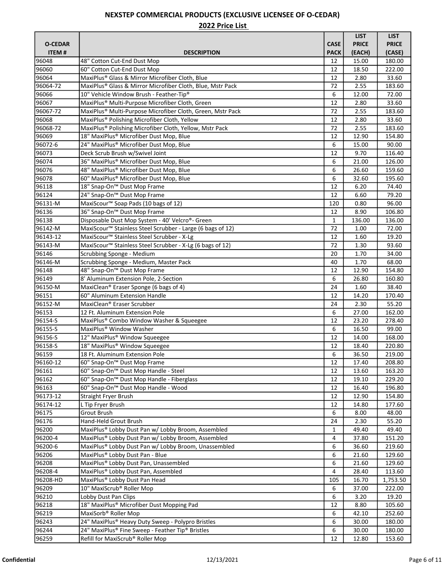|                |                                                                        |              | <b>LIST</b>  | <b>LIST</b>  |
|----------------|------------------------------------------------------------------------|--------------|--------------|--------------|
| <b>O-CEDAR</b> |                                                                        | <b>CASE</b>  | <b>PRICE</b> | <b>PRICE</b> |
| <b>ITEM#</b>   | <b>DESCRIPTION</b>                                                     | <b>PACK</b>  | (EACH)       | (CASE)       |
| 96048          | 48" Cotton Cut-End Dust Mop                                            | 12           | 15.00        | 180.00       |
| 96060          | 60" Cotton Cut-End Dust Mop                                            | 12           | 18.50        | 222.00       |
| 96064          | MaxiPlus® Glass & Mirror Microfiber Cloth, Blue                        | 12           | 2.80         | 33.60        |
| 96064-72       | MaxiPlus® Glass & Mirror Microfiber Cloth, Blue, Mstr Pack             | 72           | 2.55         | 183.60       |
| 96066          | 10" Vehicle Window Brush - Feather-Tip®                                | 6            | 12.00        | 72.00        |
| 96067          | MaxiPlus® Multi-Purpose Microfiber Cloth, Green                        | 12           | 2.80         | 33.60        |
| 96067-72       | MaxiPlus® Multi-Purpose Microfiber Cloth, Green, Mstr Pack             | 72           | 2.55         | 183.60       |
| 96068          | MaxiPlus® Polishing Microfiber Cloth, Yellow                           | 12           | 2.80         | 33.60        |
| 96068-72       | MaxiPlus® Polishing Microfiber Cloth, Yellow, Mstr Pack                | 72           | 2.55         | 183.60       |
| 96069          | 18" MaxiPlus® Microfiber Dust Mop, Blue                                | 12           | 12.90        | 154.80       |
| 96072-6        | 24" MaxiPlus® Microfiber Dust Mop, Blue                                | 6            | 15.00        | 90.00        |
| 96073          | Deck Scrub Brush w/Swivel Joint                                        | 12           | 9.70         | 116.40       |
| 96074          | 36" MaxiPlus® Microfiber Dust Mop, Blue                                | 6            | 21.00        | 126.00       |
| 96076          | 48" MaxiPlus® Microfiber Dust Mop, Blue                                | 6            | 26.60        | 159.60       |
| 96078          | 60" MaxiPlus® Microfiber Dust Mop, Blue                                | 6            | 32.60        | 195.60       |
| 96118          | 18" Snap-On™ Dust Mop Frame                                            | 12           | 6.20         | 74.40        |
| 96124          | 24" Snap-On <sup>™</sup> Dust Mop Frame                                | 12           | 6.60         | 79.20        |
| 96131-M        | MaxiScour <sup>™</sup> Soap Pads (10 bags of 12)                       | 120          | 0.80         | 96.00        |
| 96136          | 36" Snap-On™ Dust Mop Frame                                            | 12           | 8.90         | 106.80       |
| 96138          | Disposable Dust Mop System - 40' Velcro®- Green                        | $\mathbf{1}$ | 136.00       | 136.00       |
| 96142-M        | MaxiScour <sup>™</sup> Stainless Steel Scrubber - Large (6 bags of 12) | 72           | 1.00         | 72.00        |
| 96143-12       | MaxiScour <sup>™</sup> Stainless Steel Scrubber - X-Lg                 | 12           | 1.60         | 19.20        |
| 96143-M        |                                                                        | 72           |              | 93.60        |
| 96146          | MaxiScour <sup>™</sup> Stainless Steel Scrubber - X-Lg (6 bags of 12)  | 20           | 1.30<br>1.70 |              |
|                | Scrubbing Sponge - Medium                                              |              |              | 34.00        |
| 96146-M        | Scrubbing Sponge - Medium, Master Pack                                 | 40           | 1.70         | 68.00        |
| 96148          | 48" Snap-On <sup>™</sup> Dust Mop Frame                                | 12           | 12.90        | 154.80       |
| 96149          | 8' Aluminum Extension Pole, 2-Section                                  | 6            | 26.80        | 160.80       |
| 96150-M        | MaxiClean® Eraser Sponge (6 bags of 4)                                 | 24           | 1.60         | 38.40        |
| 96151          | 60" Aluminum Extension Handle                                          | 12           | 14.20        | 170.40       |
| 96152-M        | MaxiClean® Eraser Scrubber                                             | 24           | 2.30         | 55.20        |
| 96153          | 12 Ft. Aluminum Extension Pole                                         | 6            | 27.00        | 162.00       |
| 96154-S        | MaxiPlus® Combo Window Washer & Squeegee                               | 12           | 23.20        | 278.40       |
| 96155-S        | MaxiPlus <sup>®</sup> Window Washer                                    | 6            | 16.50        | 99.00        |
| 96156-S        | 12" MaxiPlus <sup>®</sup> Window Squeegee                              | 12           | 14.00        | 168.00       |
| 96158-S        | 18" MaxiPlus <sup>®</sup> Window Squeegee                              | 12           | 18.40        | 220.80       |
| 96159          | 18 Ft. Aluminum Extension Pole                                         | 6            | 36.50        | 219.00       |
| 96160-12       | 60" Snap-On™ Dust Mop Frame                                            | 12           | 17.40        | 208.80       |
| 96161          | 60" Snap-On™ Dust Mop Handle - Steel                                   | 12           | 13.60        | 163.20       |
| 96162          | 60" Snap-On™ Dust Mop Handle - Fiberglass                              | 12           | 19.10        | 229.20       |
| 96163          | 60" Snap-On <sup>™</sup> Dust Mop Handle - Wood                        | 12           | 16.40        | 196.80       |
| 96173-12       | <b>Straight Fryer Brush</b>                                            | 12           | 12.90        | 154.80       |
| 96174-12       | L Tip Fryer Brush                                                      | 12           | 14.80        | 177.60       |
| 96175          | Grout Brush                                                            | 6            | 8.00         | 48.00        |
| 96176          | Hand-Held Grout Brush                                                  | 24           | 2.30         | 55.20        |
| 96200          | MaxiPlus® Lobby Dust Pan w/ Lobby Broom, Assembled                     | 1            | 49.40        | 49.40        |
| 96200-4        | MaxiPlus® Lobby Dust Pan w/ Lobby Broom, Assembled                     | 4            | 37.80        | 151.20       |
| 96200-6        | MaxiPlus® Lobby Dust Pan w/ Lobby Broom, Unassembled                   | 6            | 36.60        | 219.60       |
| 96206          | MaxiPlus® Lobby Dust Pan - Blue                                        | 6            | 21.60        | 129.60       |
| 96208          | MaxiPlus® Lobby Dust Pan, Unassembled                                  | 6            | 21.60        | 129.60       |
| 96208-4        | MaxiPlus® Lobby Dust Pan, Assembled                                    | 4            | 28.40        | 113.60       |
| 96208-HD       | MaxiPlus® Lobby Dust Pan Head                                          | 105          | 16.70        | 1,753.50     |
| 96209          | 10" MaxiScrub® Roller Mop                                              | 6            | 37.00        | 222.00       |
| 96210          | Lobby Dust Pan Clips                                                   | 6            | 3.20         | 19.20        |
| 96218          | 18" MaxiPlus® Microfiber Dust Mopping Pad                              | 12           | 8.80         | 105.60       |
| 96219          | MaxiSorb <sup>®</sup> Roller Mop                                       | 6            | 42.10        | 252.60       |
| 96243          | 24" MaxiPlus <sup>®</sup> Heavy Duty Sweep - Polypro Bristles          | 6            | 30.00        | 180.00       |
| 96244          | 24" MaxiPlus® Fine Sweep - Feather Tip® Bristles                       | 6            | 30.00        | 180.00       |
| 96259          | Refill for MaxiScrub® Roller Mop                                       | 12           | 12.80        | 153.60       |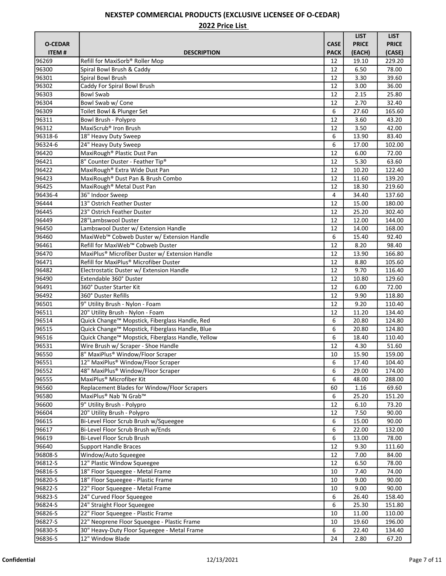|                |                                                                                    |             | <b>LIST</b>    | <b>LIST</b>      |
|----------------|------------------------------------------------------------------------------------|-------------|----------------|------------------|
| <b>O-CEDAR</b> |                                                                                    | <b>CASE</b> | <b>PRICE</b>   | <b>PRICE</b>     |
| <b>ITEM#</b>   | <b>DESCRIPTION</b>                                                                 | <b>PACK</b> | (EACH)         | (CASE)           |
| 96269          | Refill for MaxiSorb® Roller Mop                                                    | 12          | 19.10          | 229.20           |
| 96300          | Spiral Bowl Brush & Caddy                                                          | 12          | 6.50           | 78.00            |
| 96301          | Spiral Bowl Brush                                                                  | 12          | 3.30           | 39.60            |
| 96302          | Caddy For Spiral Bowl Brush                                                        | 12          | 3.00           | 36.00            |
| 96303          | <b>Bowl Swab</b>                                                                   | 12          | 2.15           | 25.80            |
| 96304          | Bowl Swab w/ Cone                                                                  | 12          | 2.70           | 32.40            |
| 96309          | Toilet Bowl & Plunger Set                                                          | 6           | 27.60          | 165.60           |
| 96311          | Bowl Brush - Polypro                                                               | 12          | 3.60           | 43.20            |
| 96312          | MaxiScrub <sup>®</sup> Iron Brush                                                  | 12          | 3.50           | 42.00            |
| 96318-6        | 18" Heavy Duty Sweep                                                               | 6           | 13.90          | 83.40            |
| 96324-6        | 24" Heavy Duty Sweep                                                               | 6           | 17.00          | 102.00           |
| 96420          | MaxiRough <sup>®</sup> Plastic Dust Pan                                            | 12          | 6.00           | 72.00            |
| 96421          | 8" Counter Duster - Feather Tip®                                                   | 12          | 5.30           | 63.60            |
| 96422          | MaxiRough® Extra Wide Dust Pan                                                     | 12          | 10.20          | 122.40           |
| 96423          | MaxiRough® Dust Pan & Brush Combo                                                  | 12          | 11.60          | 139.20           |
| 96425          | MaxiRough® Metal Dust Pan                                                          | 12          | 18.30          | 219.60           |
| 96436-4        | 36" Indoor Sweep                                                                   | 4           | 34.40          | 137.60           |
| 96444          | 13" Ostrich Feather Duster                                                         | 12          | 15.00          | 180.00           |
| 96445          | 23" Ostrich Feather Duster                                                         | 12          | 25.20          | 302.40           |
| 96449          | 28"Lambswool Duster                                                                | 12          | 12.00          | 144.00           |
| 96450          | Lambswool Duster w/ Extension Handle                                               | 12          | 14.00          | 168.00           |
| 96460          | MaxiWeb™ Cobweb Duster w/ Extension Handle                                         | 6           | 15.40          | 92.40            |
| 96461          | Refill for MaxiWeb™ Cobweb Duster                                                  | 12          | 8.20           | 98.40            |
| 96470          | MaxiPlus <sup>®</sup> Microfiber Duster w/ Extension Handle                        | 12          | 13.90          | 166.80           |
| 96471          | Refill for MaxiPlus® Microfiber Duster                                             | 12          | 8.80           | 105.60           |
| 96482          | Electrostatic Duster w/ Extension Handle                                           | 12          | 9.70           | 116.40           |
| 96490          | Extendable 360° Duster                                                             | 12          | 10.80          | 129.60           |
| 96491          | 360° Duster Starter Kit                                                            | 12          | 6.00           | 72.00            |
| 96492          | 360° Duster Refills                                                                | 12          | 9.90           | 118.80           |
|                |                                                                                    |             |                |                  |
| 96501<br>96511 | 9" Utility Brush - Nylon - Foam<br>20" Utility Brush - Nylon - Foam                | 12<br>12    | 9.20<br>11.20  | 110.40<br>134.40 |
| 96514          | Quick Change <sup>™</sup> Mopstick, Fiberglass Handle, Red                         | 6           | 20.80          | 124.80           |
| 96515          | Quick Change™ Mopstick, Fiberglass Handle, Blue                                    | 6           | 20.80          | 124.80           |
| 96516          | Quick Change™ Mopstick, Fiberglass Handle, Yellow                                  | 6           | 18.40          | 110.40           |
| 96531          | Wire Brush w/ Scraper - Shoe Handle                                                | 12          | 4.30           | 51.60            |
| 96550          | 8" MaxiPlus® Window/Floor Scraper                                                  | 10          | 15.90          | 159.00           |
| 96551          | 12" MaxiPlus® Window/Floor Scraper                                                 |             |                |                  |
| 96552          | 48" MaxiPlus® Window/Floor Scraper                                                 | 6<br>6      | 17.40<br>29.00 | 104.40<br>174.00 |
|                | MaxiPlus <sup>®</sup> Microfiber Kit                                               |             |                |                  |
| 96555          |                                                                                    | 6           | 48.00          | 288.00           |
| 96560<br>96580 | Replacement Blades for Window/Floor Scrapers<br>MaxiPlus <sup>®</sup> Nab 'N Grab™ | 60<br>6     | 1.16<br>25.20  | 69.60<br>151.20  |
| 96600          | 9" Utility Brush - Polypro                                                         | 12          | 6.10           | 73.20            |
| 96604          | 20" Utility Brush - Polypro                                                        | 12          | 7.50           | 90.00            |
|                |                                                                                    |             |                |                  |
| 96615          | Bi-Level Floor Scrub Brush w/Squeegee                                              | 6           | 15.00          | 90.00            |
| 96617          | Bi-Level Floor Scrub Brush w/Ends<br>Bi-Level Floor Scrub Brush                    | 6           | 22.00          | 132.00           |
| 96619          |                                                                                    | 6           | 13.00          | 78.00            |
| 96640          | <b>Support Handle Braces</b>                                                       | 12          | 9.30           | 111.60           |
| 96808-S        | Window/Auto Squeegee                                                               | 12          | 7.00           | 84.00            |
| 96812-S        | 12" Plastic Window Squeegee                                                        | 12          | 6.50           | 78.00            |
| 96816-S        | 18" Floor Squeegee - Metal Frame                                                   | 10          | 7.40           | 74.00            |
| 96820-S        | 18" Floor Squeegee - Plastic Frame                                                 | 10          | 9.00           | 90.00            |
| 96822-S        | 22" Floor Squeegee - Metal Frame                                                   | 10          | 9.00           | 90.00            |
| 96823-S        | 24" Curved Floor Squeegee                                                          | 6           | 26.40          | 158.40           |
| 96824-S        | 24" Straight Floor Squeegee                                                        | 6           | 25.30          | 151.80           |
| 96826-S        | 22" Floor Squeegee - Plastic Frame                                                 | 10          | 11.00          | 110.00           |
| 96827-S        | 22" Neoprene Floor Squeegee - Plastic Frame                                        | 10          | 19.60          | 196.00           |
| 96830-S        | 30" Heavy-Duty Floor Squeegee - Metal Frame                                        | 6           | 22.40          | 134.40           |
| 96836-S        | 12" Window Blade                                                                   | 24          | 2.80           | 67.20            |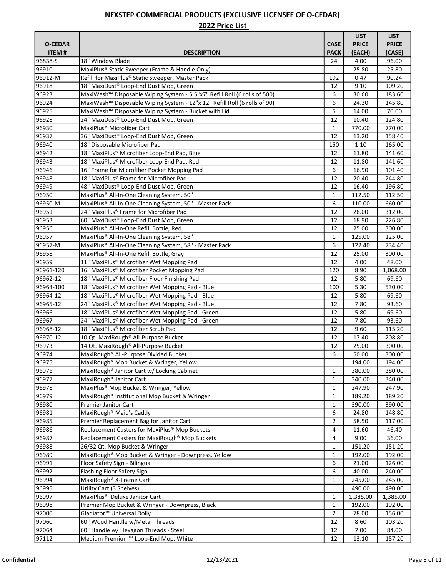|                |                                                                                       |              | <b>LIST</b>  | <b>LIST</b>  |
|----------------|---------------------------------------------------------------------------------------|--------------|--------------|--------------|
| <b>O-CEDAR</b> |                                                                                       | <b>CASE</b>  | <b>PRICE</b> | <b>PRICE</b> |
| <b>ITEM#</b>   | <b>DESCRIPTION</b>                                                                    | <b>PACK</b>  | (EACH)       | (CASE)       |
| 96838-S        | 18" Window Blade                                                                      | 24           | 4.00         | 96.00        |
| 96910          | MaxiPlus <sup>®</sup> Static Sweeper (Frame & Handle Only)                            | 1            | 25.80        | 25.80        |
| 96912-M        | Refill for MaxiPlus® Static Sweeper, Master Pack                                      | 192          | 0.47         | 90.24        |
| 96918          | 18" MaxiDust® Loop-End Dust Mop, Green                                                | 12           | 9.10         | 109.20       |
| 96923          | MaxiWash™ Disposable Wiping System - 5.5"x7" Refill Roll (6 rolls of 500)             | 6            | 30.60        | 183.60       |
| 96924          | MaxiWash <sup>™</sup> Disposable Wiping System - 12"x 12" Refill Roll (6 rolls of 90) | 6            | 24.30        | 145.80       |
| 96925          | MaxiWash™ Disposable Wiping System - Bucket with Lid                                  | 5            | 14.00        | 70.00        |
| 96928          | 24" MaxiDust® Loop-End Dust Mop, Green                                                | 12           | 10.40        | 124.80       |
| 96930          | MaxiPlus <sup>®</sup> Microfiber Cart                                                 | 1            | 770.00       | 770.00       |
| 96937          | 36" MaxiDust® Loop-End Dust Mop, Green                                                | 12           | 13.20        | 158.40       |
| 96940          | 18" Disposable Microfiber Pad                                                         | 150          | 1.10         | 165.00       |
| 96942          | 18" MaxiPlus® Microfiber Loop-End Pad, Blue                                           | 12           | 11.80        | 141.60       |
| 96943          | 18" MaxiPlus® Microfiber Loop-End Pad, Red                                            | 12           | 11.80        | 141.60       |
| 96946          | 16" Frame for Microfiber Pocket Mopping Pad                                           | 6            | 16.90        | 101.40       |
| 96948          | 18" MaxiPlus® Frame for Microfiber Pad                                                | 12           | 20.40        | 244.80       |
| 96949          | 48" MaxiDust® Loop-End Dust Mop, Green                                                | 12           | 16.40        | 196.80       |
| 96950          | MaxiPlus® All-In-One Cleaning System, 50"                                             | $\mathbf{1}$ | 112.50       | 112.50       |
| 96950-M        | MaxiPlus® All-In-One Cleaning System, 50" - Master Pack                               | 6            | 110.00       | 660.00       |
| 96951          | 24" MaxiPlus® Frame for Microfiber Pad                                                | 12           | 26.00        | 312.00       |
| 96953          | 60" MaxiDust <sup>®</sup> Loop-End Dust Mop, Green                                    | 12           | 18.90        | 226.80       |
|                | MaxiPlus® All-In-One Refill Bottle, Red                                               |              |              |              |
| 96956          |                                                                                       | 12           | 25.00        | 300.00       |
| 96957          | MaxiPlus® All-In-One Cleaning System, 58"                                             | 1            | 125.00       | 125.00       |
| 96957-M        | MaxiPlus® All-In-One Cleaning System, 58" - Master Pack                               | 6            | 122.40       | 734.40       |
| 96958          | MaxiPlus® All-In-One Refill Bottle, Gray                                              | 12           | 25.00        | 300.00       |
| 96959          | 11" MaxiPlus® Microfiber Wet Mopping Pad                                              | 12           | 4.00         | 48.00        |
| 96961-120      | 16" MaxiPlus® Microfiber Pocket Mopping Pad                                           | 120          | 8.90         | 1,068.00     |
| 96962-12       | 18" MaxiPlus® Microfiber Floor Finishing Pad                                          | 12           | 5.80         | 69.60        |
| 96964-100      | 18" MaxiPlus® Microfiber Wet Mopping Pad - Blue                                       | 100          | 5.30         | 530.00       |
| 96964-12       | 18" MaxiPlus® Microfiber Wet Mopping Pad - Blue                                       | 12           | 5.80         | 69.60        |
| 96965-12       | 24" MaxiPlus® Microfiber Wet Mopping Pad - Blue                                       | 12           | 7.80         | 93.60        |
| 96966          | 18" MaxiPlus® Microfiber Wet Mopping Pad - Green                                      | 12           | 5.80         | 69.60        |
| 96967          | 24" MaxiPlus® Microfiber Wet Mopping Pad - Green                                      | 12           | 7.80         | 93.60        |
| 96968-12       | 18" MaxiPlus® Microfiber Scrub Pad                                                    | 12           | 9.60         | 115.20       |
| 96970-12       | 10 Qt. MaxiRough® All-Purpose Bucket                                                  | 12           | 17.40        | 208.80       |
| 96973          | 14 Qt. MaxiRough® All-Purpose Bucket                                                  | 12           | 25.00        | 300.00       |
| 96974          | MaxiRough® All-Purpose Divided Bucket                                                 | 6            | 50.00        | 300.00       |
| 96975          | MaxiRough® Mop Bucket & Wringer, Yellow                                               | 1            | 194.00       | 194.00       |
| 96976          | MaxiRough <sup>®</sup> Janitor Cart w/ Locking Cabinet                                | $\mathbf{1}$ | 380.00       | 380.00       |
| 96977          | MaxiRough <sup>®</sup> Janitor Cart                                                   | 1            | 340.00       | 340.00       |
| 96978          | MaxiPlus® Mop Bucket & Wringer, Yellow                                                | 1            | 247.90       | 247.90       |
| 96979          | MaxiRough® Institutional Mop Bucket & Wringer                                         | 1            | 189.20       | 189.20       |
| 96980          | Premier Janitor Cart                                                                  | 1            | 390.00       | 390.00       |
| 96981          | MaxiRough <sup>®</sup> Maid's Caddy                                                   | 6            | 24.80        | 148.80       |
| 96985          | Premier Replacement Bag for Janitor Cart                                              | 2            | 58.50        | 117.00       |
| 96986          | Replacement Casters for MaxiPlus® Mop Buckets                                         | 4            | 11.60        | 46.40        |
| 96987          | Replacement Casters for MaxiRough® Mop Buckets                                        | 4            | 9.00         | 36.00        |
| 96988          | 26/32 Qt. Mop Bucket & Wringer                                                        | 1            | 151.20       | 151.20       |
| 96989          | MaxiRough® Mop Bucket & Wringer - Downpress, Yellow                                   | 1            | 192.00       | 192.00       |
| 96991          | Floor Safety Sign - Bilingual                                                         | 6            | 21.00        | 126.00       |
| 96992          | Flashing Floor Safety Sign                                                            | 6            | 40.00        | 240.00       |
| 96994          | MaxiRough <sup>®</sup> X-Frame Cart                                                   | 1            | 245.00       | 245.00       |
| 96995          | Utility Cart (3 Shelves)                                                              | 1            | 490.00       | 490.00       |
| 96997          | MaxiPlus <sup>®</sup> Deluxe Janitor Cart                                             | 1            | 1,385.00     | 1,385.00     |
| 96998          | Premier Mop Bucket & Wringer - Downpress, Black                                       | 1            | 192.00       | 192.00       |
| 97000          | Gladiator <sup>™</sup> Universal Dolly                                                | 2            | 78.00        | 156.00       |
| 97060          | 60" Wood Handle w/Metal Threads                                                       | 12           | 8.60         | 103.20       |
| 97064          | 60" Handle w/ Hexagon Threads - Steel                                                 | 12           | 7.00         | 84.00        |
| 97112          | Medium Premium™ Loop-End Mop, White                                                   | 12           | 13.10        | 157.20       |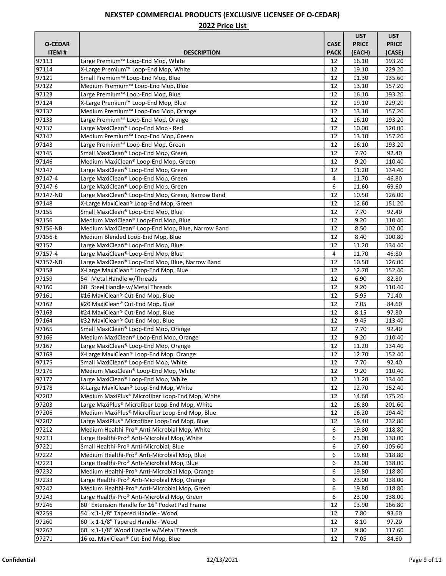|                |                                                            |             | <b>LIST</b>    | <b>LIST</b>  |
|----------------|------------------------------------------------------------|-------------|----------------|--------------|
| <b>O-CEDAR</b> |                                                            | <b>CASE</b> | <b>PRICE</b>   | <b>PRICE</b> |
| <b>ITEM#</b>   | <b>DESCRIPTION</b>                                         | <b>PACK</b> | (EACH)         | (CASE)       |
| 97113          | Large Premium™ Loop-End Mop, White                         | 12          | 16.10          | 193.20       |
| 97114          | X-Large Premium™ Loop-End Mop, White                       | 12          | 19.10          | 229.20       |
| 97121          | Small Premium™ Loop-End Mop, Blue                          | 12          | 11.30          | 135.60       |
| 97122          | Medium Premium™ Loop-End Mop, Blue                         | 12          | 13.10          | 157.20       |
| 97123          | Large Premium™ Loop-End Mop, Blue                          | 12          | 16.10          | 193.20       |
| 97124          | X-Large Premium™ Loop-End Mop, Blue                        | 12          | 19.10          | 229.20       |
| 97132          | Medium Premium™ Loop-End Mop, Orange                       | 12          | 13.10          | 157.20       |
| 97133          | Large Premium™ Loop-End Mop, Orange                        | 12          | 16.10          | 193.20       |
| 97137          | Large MaxiClean® Loop-End Mop - Red                        | 12          | 10.00          | 120.00       |
| 97142          | Medium Premium <sup>™</sup> Loop-End Mop, Green            | 12          | 13.10          | 157.20       |
| 97143          | Large Premium™ Loop-End Mop, Green                         | 12          | 16.10          | 193.20       |
| 97145          | Small MaxiClean® Loop-End Mop, Green                       | 12          | 7.70           | 92.40        |
| 97146          | Medium MaxiClean® Loop-End Mop, Green                      | 12          | 9.20           | 110.40       |
| 97147          | Large MaxiClean® Loop-End Mop, Green                       | 12          | 11.20          | 134.40       |
| 97147-4        | Large MaxiClean® Loop-End Mop, Green                       | 4           |                | 46.80        |
| 97147-6        |                                                            |             | 11.70<br>11.60 | 69.60        |
|                | Large MaxiClean® Loop-End Mop, Green                       | 6           |                |              |
| 97147-NB       | Large MaxiClean® Loop-End Mop, Green, Narrow Band          | 12          | 10.50          | 126.00       |
| 97148          | X-Large MaxiClean® Loop-End Mop, Green                     | 12          | 12.60          | 151.20       |
| 97155          | Small MaxiClean® Loop-End Mop, Blue                        | 12          | 7.70           | 92.40        |
| 97156          | Medium MaxiClean® Loop-End Mop, Blue                       | 12          | 9.20           | 110.40       |
| 97156-NB       | Medium MaxiClean® Loop-End Mop, Blue, Narrow Band          | 12          | 8.50           | 102.00       |
| 97156-E        | Medium Blended Loop-End Mop, Blue                          | 12          | 8.40           | 100.80       |
| 97157          | Large MaxiClean® Loop-End Mop, Blue                        | 12          | 11.20          | 134.40       |
| 97157-4        | Large MaxiClean® Loop-End Mop, Blue                        | 4           | 11.70          | 46.80        |
| 97157-NB       | Large MaxiClean® Loop-End Mop, Blue, Narrow Band           | 12          | 10.50          | 126.00       |
| 97158          | X-Large MaxiClean® Loop-End Mop, Blue                      | 12          | 12.70          | 152.40       |
| 97159          | 54" Metal Handle w/Threads                                 | 12          | 6.90           | 82.80        |
| 97160          | 60" Steel Handle w/Metal Threads                           | 12          | 9.20           | 110.40       |
| 97161          | #16 MaxiClean® Cut-End Mop, Blue                           | 12          | 5.95           | 71.40        |
| 97162          | #20 MaxiClean® Cut-End Mop, Blue                           | 12          | 7.05           | 84.60        |
| 97163          | #24 MaxiClean® Cut-End Mop, Blue                           | 12          | 8.15           | 97.80        |
| 97164          | #32 MaxiClean® Cut-End Mop, Blue                           | 12          | 9.45           | 113.40       |
| 97165          | Small MaxiClean® Loop-End Mop, Orange                      | 12          | 7.70           | 92.40        |
| 97166          | Medium MaxiClean® Loop-End Mop, Orange                     | 12          | 9.20           | 110.40       |
| 97167          | Large MaxiClean® Loop-End Mop, Orange                      | 12          | 11.20          | 134.40       |
| 97168          | X-Large MaxiClean® Loop-End Mop, Orange                    | 12          | 12.70          | 152.40       |
| 97175          | Small MaxiClean® Loop-End Mop, White                       | 12          | 7.70           | 92.40        |
| 97176          | Medium MaxiClean® Loop-End Mop, White                      | 12          | 9.20           | 110.40       |
| 97177          | Large MaxiClean® Loop-End Mop, White                       | 12          | 11.20          | 134.40       |
| 97178          | X-Large MaxiClean® Loop-End Mop, White                     | 12          | 12.70          | 152.40       |
| 97202          | Medium MaxiPlus® Microfiber Loop-End Mop, White            | 12          | 14.60          | 175.20       |
| 97203          | Large MaxiPlus <sup>®</sup> Microfiber Loop-End Mop, White | 12          | 16.80          | 201.60       |
| 97206          | Medium MaxiPlus® Microfiber Loop-End Mop, Blue             | 12          | 16.20          | 194.40       |
| 97207          | Large MaxiPlus® Microfiber Loop-End Mop, Blue              | 12          | 19.40          | 232.80       |
| 97212          | Medium Healthi-Pro® Anti-Microbial Mop, White              | 6           | 19.80          | 118.80       |
| 97213          | Large Healthi-Pro® Anti-Microbial Mop, White               | 6           | 23.00          | 138.00       |
| 97221          | Small Healthi-Pro® Anti-Microbial, Blue                    | 6           | 17.60          | 105.60       |
| 97222          | Medium Healthi-Pro® Anti-Microbial Mop, Blue               | 6           | 19.80          | 118.80       |
| 97223          | Large Healthi-Pro® Anti-Microbial Mop, Blue                | 6           | 23.00          | 138.00       |
| 97232          | Medium Healthi-Pro® Anti-Microbial Mop, Orange             | 6           | 19.80          | 118.80       |
| 97233          | Large Healthi-Pro® Anti-Microbial Mop, Orange              | 6           | 23.00          | 138.00       |
| 97242          | Medium Healthi-Pro® Anti-Microbial Mop, Green              | 6           | 19.80          | 118.80       |
| 97243          | Large Healthi-Pro® Anti-Microbial Mop, Green               | 6           | 23.00          | 138.00       |
|                |                                                            | 12          |                |              |
| 97246          | 60" Extension Handle for 16" Pocket Pad Frame              |             | 13.90          | 166.80       |
| 97259          | 54" x 1-1/8" Tapered Handle - Wood                         | 12          | 7.80           | 93.60        |
| 97260          | 60" x 1-1/8" Tapered Handle - Wood                         | 12          | 8.10           | 97.20        |
| 97262          | 60" x 1-1/8" Wood Handle w/Metal Threads                   | 12          | 9.80           | 117.60       |
| 97271          | 16 oz. MaxiClean® Cut-End Mop, Blue                        | 12          | 7.05           | 84.60        |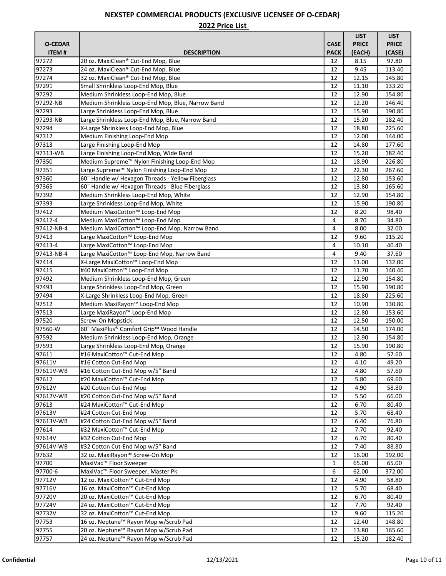|                |                                                          |             | <b>LIST</b>  | <b>LIST</b>  |
|----------------|----------------------------------------------------------|-------------|--------------|--------------|
| <b>O-CEDAR</b> |                                                          | <b>CASE</b> | <b>PRICE</b> | <b>PRICE</b> |
| <b>ITEM#</b>   | <b>DESCRIPTION</b>                                       | <b>PACK</b> | (EACH)       | (CASE)       |
| 97272          | 20 oz. MaxiClean® Cut-End Mop, Blue                      | 12          | 8.15         | 97.80        |
| 97273          | 24 oz. MaxiClean® Cut-End Mop, Blue                      | 12          | 9.45         | 113.40       |
| 97274          | 32 oz. MaxiClean® Cut-End Mop, Blue                      | 12          | 12.15        | 145.80       |
| 97291          | Small Shrinkless Loop-End Mop, Blue                      | 12          | 11.10        | 133.20       |
| 97292          | Medium Shrinkless Loop-End Mop, Blue                     | 12          | 12.90        | 154.80       |
| 97292-NB       | Medium Shrinkless Loop-End Mop, Blue, Narrow Band        | 12          | 12.20        | 146.40       |
| 97293          | Large Shrinkless Loop-End Mop, Blue                      | 12          | 15.90        | 190.80       |
| 97293-NB       | Large Shrinkless Loop-End Mop, Blue, Narrow Band         | 12          | 15.20        | 182.40       |
| 97294          | X-Large Shrinkless Loop-End Mop, Blue                    | 12          | 18.80        | 225.60       |
| 97312          | Medium Finishing Loop-End Mop                            | 12          | 12.00        | 144.00       |
| 97313          | Large Finishing Loop-End Mop                             | 12          | 14.80        | 177.60       |
| 97313-WB       | Large Finishing Loop-End Mop, Wide Band                  | 12          | 15.20        | 182.40       |
| 97350          | Medium Supreme <sup>™</sup> Nylon Finishing Loop-End Mop | 12          | 18.90        | 226.80       |
| 97351          | Large Supreme™ Nylon Finishing Loop-End Mop              | 12          | 22.30        | 267.60       |
| 97360          | 60" Handle w/ Hexagon Threads - Yellow Fiberglass        | 12          | 12.80        | 153.60       |
| 97365          | 60" Handle w/ Hexagon Threads - Blue Fiberglass          | 12          | 13.80        | 165.60       |
| 97392          | Medium Shrinkless Loop-End Mop, White                    | 12          | 12.90        | 154.80       |
| 97393          | Large Shrinkless Loop-End Mop, White                     | 12          | 15.90        | 190.80       |
| 97412          | Medium MaxiCotton™ Loop-End Mop                          | 12          | 8.20         | 98.40        |
| 97412-4        | Medium MaxiCotton™ Loop-End Mop                          | 4           | 8.70         | 34.80        |
| 97412-NB-4     | Medium MaxiCotton™ Loop-End Mop, Narrow Band             | 4           | 8.00         | 32.00        |
| 97413          | Large MaxiCotton™ Loop-End Mop                           | 12          | 9.60         | 115.20       |
| 97413-4        | Large MaxiCotton™ Loop-End Mop                           | 4           | 10.10        | 40.40        |
| 97413-NB-4     | Large MaxiCotton™ Loop-End Mop, Narrow Band              | 4           | 9.40         | 37.60        |
| 97414          | X-Large MaxiCotton™ Loop-End Mop                         | 12          | 11.00        | 132.00       |
| 97415          | #40 MaxiCotton™ Loop-End Mop                             | 12          | 11.70        | 140.40       |
| 97492          | Medium Shrinkless Loop-End Mop, Green                    | 12          | 12.90        | 154.80       |
| 97493          | Large Shrinkless Loop-End Mop, Green                     | 12          | 15.90        | 190.80       |
| 97494          | X-Large Shrinkless Loop-End Mop, Green                   | 12          | 18.80        | 225.60       |
| 97512          | Medium MaxiRayon <sup>™</sup> Loop-End Mop               | 12          | 10.90        | 130.80       |
| 97513          | Large MaxiRayon™ Loop-End Mop                            | 12          | 12.80        | 153.60       |
| 97520          | Screw-On Mopstick                                        | 12          | 12.50        | 150.00       |
| 97560-W        | 60" MaxiPlus® Comfort Grip™ Wood Handle                  | 12          | 14.50        | 174.00       |
| 97592          | Medium Shrinkless Loop-End Mop, Orange                   | 12          | 12.90        | 154.80       |
| 97593          | Large Shrinkless Loop-End Mop, Orange                    | 12          | 15.90        | 190.80       |
| 97611          | #16 MaxiCotton™ Cut-End Mop                              | 12          | 4.80         | 57.60        |
| 97611V         | #16 Cotton Cut-End Mop                                   | 12          | 4.10         | 49.20        |
| 97611V-WB      | #16 Cotton Cut-End Mop w/5" Band                         | 12          | 4.80         | 57.60        |
| 97612          | #20 MaxiCotton™ Cut-End Mop                              | 12          | 5.80         | 69.60        |
| 97612V         | #20 Cotton Cut-End Mop                                   | 12          | 4.90         | 58.80        |
| 97612V-WB      | #20 Cotton Cut-End Mop w/5" Band                         | 12          | 5.50         | 66.00        |
| 97613          | #24 MaxiCotton™ Cut-End Mop                              | 12          | 6.70         | 80.40        |
| 97613V         | #24 Cotton Cut-End Mop                                   | 12          | 5.70         | 68.40        |
| 97613V-WB      | #24 Cotton Cut-End Mop w/5" Band                         | 12          | 6.40         | 76.80        |
| 97614          | #32 MaxiCotton™ Cut-End Mop                              | 12          | 7.70         | 92.40        |
| 97614V         | #32 Cotton Cut-End Mop                                   | 12          | 6.70         | 80.40        |
| 97614V-WB      | #32 Cotton Cut-End Mop w/5" Band                         | 12          | 7.40         | 88.80        |
| 97632          | 32 oz. MaxiRayon™ Screw-On Mop                           | 12          | 16.00        | 192.00       |
| 97700          | MaxiVac™ Floor Sweeper                                   | 1           | 65.00        | 65.00        |
| 97700-6        | MaxiVac™ Floor Sweeper, Master Pk.                       | 6           | 62.00        | 372.00       |
| 97712V         | 12 oz. MaxiCotton™ Cut-End Mop                           | 12          | 4.90         | 58.80        |
| 97716V         | 16 oz. MaxiCotton™ Cut-End Mop                           | 12          | 5.70         | 68.40        |
| 97720V         | 20 oz. MaxiCotton™ Cut-End Mop                           | 12          | 6.70         | 80.40        |
| 97724V         | 24 oz. MaxiCotton™ Cut-End Mop                           | 12          | 7.70         | 92.40        |
| 97732V         | 32 oz. MaxiCotton™ Cut-End Mop                           | 12          | 9.60         | 115.20       |
| 97753          | 16 oz. Neptune <sup>™</sup> Rayon Mop w/Scrub Pad        | 12          | 12.40        | 148.80       |
| 97755          | 20 oz. Neptune <sup>™</sup> Rayon Mop w/Scrub Pad        | 12          | 13.80        | 165.60       |
| 97757          | 24 oz. Neptune <sup>™</sup> Rayon Mop w/Scrub Pad        | 12          | 15.20        | 182.40       |